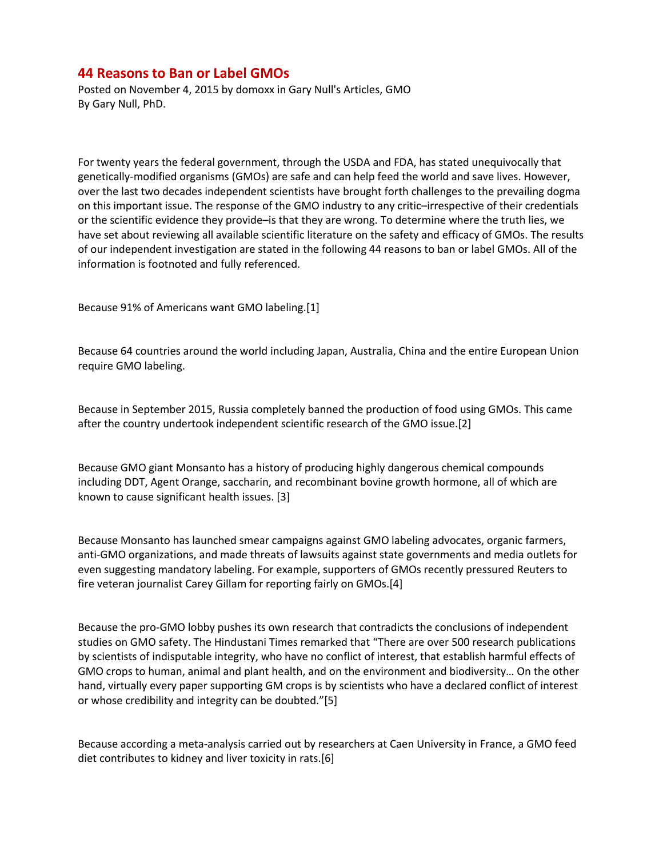## **44 Reasons to Ban or Label GMOs**

Posted on November 4, 2015 by domoxx in Gary Null's Articles, GMO By Gary Null, PhD.

For twenty years the federal government, through the USDA and FDA, has stated unequivocally that genetically-modified organisms (GMOs) are safe and can help feed the world and save lives. However, over the last two decades independent scientists have brought forth challenges to the prevailing dogma on this important issue. The response of the GMO industry to any critic–irrespective of their credentials or the scientific evidence they provide–is that they are wrong. To determine where the truth lies, we have set about reviewing all available scientific literature on the safety and efficacy of GMOs. The results of our independent investigation are stated in the following 44 reasons to ban or label GMOs. All of the information is footnoted and fully referenced.

Because 91% of Americans want GMO labeling.[1]

Because 64 countries around the world including Japan, Australia, China and the entire European Union require GMO labeling.

Because in September 2015, Russia completely banned the production of food using GMOs. This came after the country undertook independent scientific research of the GMO issue.[2]

Because GMO giant Monsanto has a history of producing highly dangerous chemical compounds including DDT, Agent Orange, saccharin, and recombinant bovine growth hormone, all of which are known to cause significant health issues. [3]

Because Monsanto has launched smear campaigns against GMO labeling advocates, organic farmers, anti-GMO organizations, and made threats of lawsuits against state governments and media outlets for even suggesting mandatory labeling. For example, supporters of GMOs recently pressured Reuters to fire veteran journalist Carey Gillam for reporting fairly on GMOs.[4]

Because the pro-GMO lobby pushes its own research that contradicts the conclusions of independent studies on GMO safety. The Hindustani Times remarked that "There are over 500 research publications by scientists of indisputable integrity, who have no conflict of interest, that establish harmful effects of GMO crops to human, animal and plant health, and on the environment and biodiversity… On the other hand, virtually every paper supporting GM crops is by scientists who have a declared conflict of interest or whose credibility and integrity can be doubted."[5]

Because according a meta-analysis carried out by researchers at Caen University in France, a GMO feed diet contributes to kidney and liver toxicity in rats.[6]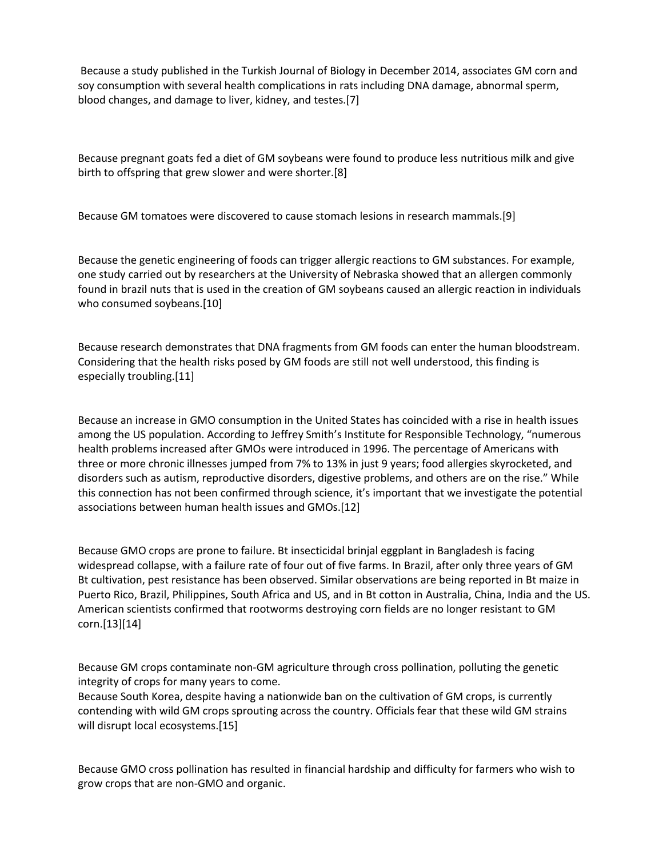Because a study published in the Turkish Journal of Biology in December 2014, associates GM corn and soy consumption with several health complications in rats including DNA damage, abnormal sperm, blood changes, and damage to liver, kidney, and testes.[7]

Because pregnant goats fed a diet of GM soybeans were found to produce less nutritious milk and give birth to offspring that grew slower and were shorter.[8]

Because GM tomatoes were discovered to cause stomach lesions in research mammals.[9]

Because the genetic engineering of foods can trigger allergic reactions to GM substances. For example, one study carried out by researchers at the University of Nebraska showed that an allergen commonly found in brazil nuts that is used in the creation of GM soybeans caused an allergic reaction in individuals who consumed soybeans.[10]

Because research demonstrates that DNA fragments from GM foods can enter the human bloodstream. Considering that the health risks posed by GM foods are still not well understood, this finding is especially troubling.[11]

Because an increase in GMO consumption in the United States has coincided with a rise in health issues among the US population. According to Jeffrey Smith's Institute for Responsible Technology, "numerous health problems increased after GMOs were introduced in 1996. The percentage of Americans with three or more chronic illnesses jumped from 7% to 13% in just 9 years; food allergies skyrocketed, and disorders such as autism, reproductive disorders, digestive problems, and others are on the rise." While this connection has not been confirmed through science, it's important that we investigate the potential associations between human health issues and GMOs.[12]

Because GMO crops are prone to failure. Bt insecticidal brinjal eggplant in Bangladesh is facing widespread collapse, with a failure rate of four out of five farms. In Brazil, after only three years of GM Bt cultivation, pest resistance has been observed. Similar observations are being reported in Bt maize in Puerto Rico, Brazil, Philippines, South Africa and US, and in Bt cotton in Australia, China, India and the US. American scientists confirmed that rootworms destroying corn fields are no longer resistant to GM corn.[13][14]

Because GM crops contaminate non-GM agriculture through cross pollination, polluting the genetic integrity of crops for many years to come.

Because South Korea, despite having a nationwide ban on the cultivation of GM crops, is currently contending with wild GM crops sprouting across the country. Officials fear that these wild GM strains will disrupt local ecosystems.[15]

Because GMO cross pollination has resulted in financial hardship and difficulty for farmers who wish to grow crops that are non-GMO and organic.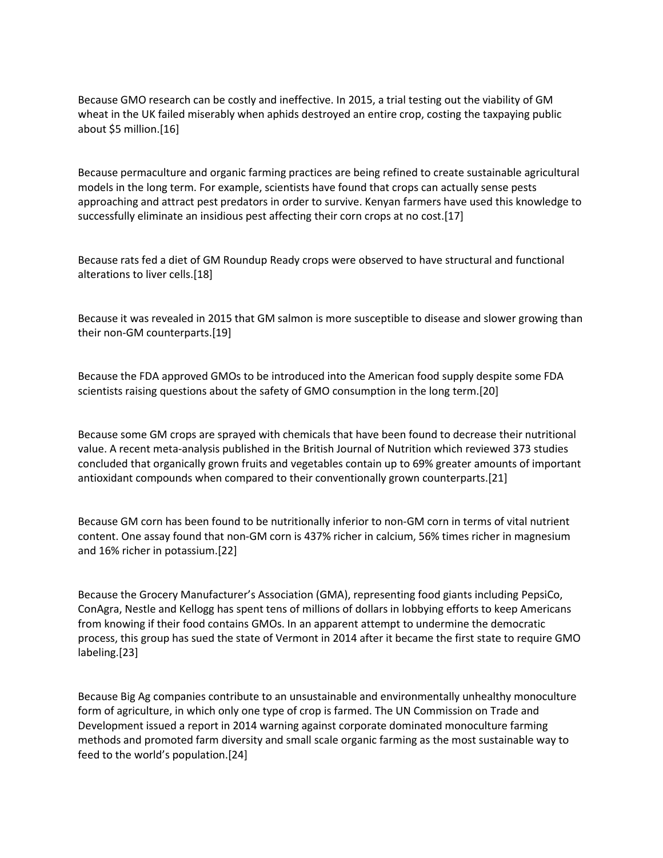Because GMO research can be costly and ineffective. In 2015, a trial testing out the viability of GM wheat in the UK failed miserably when aphids destroyed an entire crop, costing the taxpaying public about \$5 million.[16]

Because permaculture and organic farming practices are being refined to create sustainable agricultural models in the long term. For example, scientists have found that crops can actually sense pests approaching and attract pest predators in order to survive. Kenyan farmers have used this knowledge to successfully eliminate an insidious pest affecting their corn crops at no cost.[17]

Because rats fed a diet of GM Roundup Ready crops were observed to have structural and functional alterations to liver cells.[18]

Because it was revealed in 2015 that GM salmon is more susceptible to disease and slower growing than their non-GM counterparts.[19]

Because the FDA approved GMOs to be introduced into the American food supply despite some FDA scientists raising questions about the safety of GMO consumption in the long term.[20]

Because some GM crops are sprayed with chemicals that have been found to decrease their nutritional value. A recent meta-analysis published in the British Journal of Nutrition which reviewed 373 studies concluded that organically grown fruits and vegetables contain up to 69% greater amounts of important antioxidant compounds when compared to their conventionally grown counterparts.[21]

Because GM corn has been found to be nutritionally inferior to non-GM corn in terms of vital nutrient content. One assay found that non-GM corn is 437% richer in calcium, 56% times richer in magnesium and 16% richer in potassium.[22]

Because the Grocery Manufacturer's Association (GMA), representing food giants including PepsiCo, ConAgra, Nestle and Kellogg has spent tens of millions of dollars in lobbying efforts to keep Americans from knowing if their food contains GMOs. In an apparent attempt to undermine the democratic process, this group has sued the state of Vermont in 2014 after it became the first state to require GMO labeling.[23]

Because Big Ag companies contribute to an unsustainable and environmentally unhealthy monoculture form of agriculture, in which only one type of crop is farmed. The UN Commission on Trade and Development issued a report in 2014 warning against corporate dominated monoculture farming methods and promoted farm diversity and small scale organic farming as the most sustainable way to feed to the world's population.[24]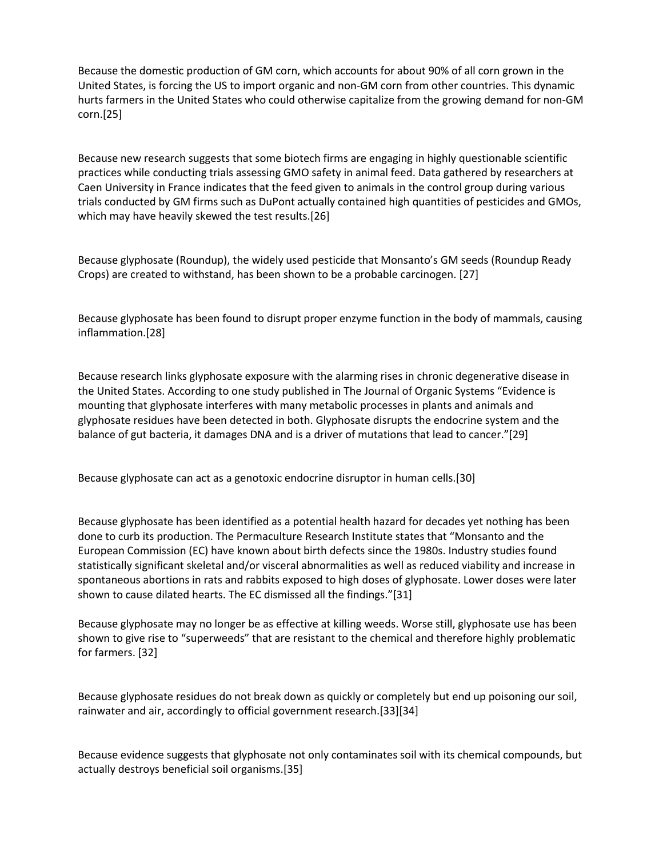Because the domestic production of GM corn, which accountsfor about 90% of all corn grown in the United States, is forcing the US to import organic and non-GM corn from other countries. This dynamic hurts farmers in the United States who could otherwise capitalize from the growing demand for non-GM corn.[25]

Because new research suggests that some biotech firms are engaging in highly questionable scientific practices while conducting trials assessing GMO safety in animal feed. Data gathered by researchers at Caen University in France indicates that the feed given to animals in the control group during various trials conducted by GM firms such as DuPont actually contained high quantities of pesticides and GMOs, which may have heavily skewed the test results.[26]

Because glyphosate (Roundup), the widely used pesticide that Monsanto's GM seeds (Roundup Ready Crops) are created to withstand, has been shown to be a probable carcinogen. [27]

Because glyphosate has been found to disrupt proper enzyme function in the body of mammals, causing inflammation.[28]

Because research links glyphosate exposure with the alarming rises in chronic degenerative disease in the United States. According to one study published in The Journal of Organic Systems "Evidence is mounting that glyphosate interferes with many metabolic processes in plants and animals and glyphosate residues have been detected in both. Glyphosate disrupts the endocrine system and the balance of gut bacteria, it damages DNA and is a driver of mutations that lead to cancer."[29]

Because glyphosate can act as a genotoxic endocrine disruptor in human cells.[30]

Because glyphosate has been identified as a potential health hazard for decades yet nothing has been done to curb its production. The Permaculture Research Institute states that "Monsanto and the European Commission (EC) have known about birth defects since the 1980s. Industry studies found statistically significant skeletal and/or visceral abnormalities as well as reduced viability and increase in spontaneous abortions in rats and rabbits exposed to high doses of glyphosate. Lower doses were later shown to cause dilated hearts. The EC dismissed all the findings."[31]

Because glyphosate may no longer be as effective at killing weeds. Worse still, glyphosate use has been shown to give rise to "superweeds" that are resistant to the chemical and therefore highly problematic for farmers. [32]

Because glyphosate residues do not break down as quickly or completely but end up poisoning our soil, rainwater and air, accordingly to official government research.[33][34]

Because evidence suggests that glyphosate not only contaminates soil with its chemical compounds, but actually destroys beneficial soil organisms.[35]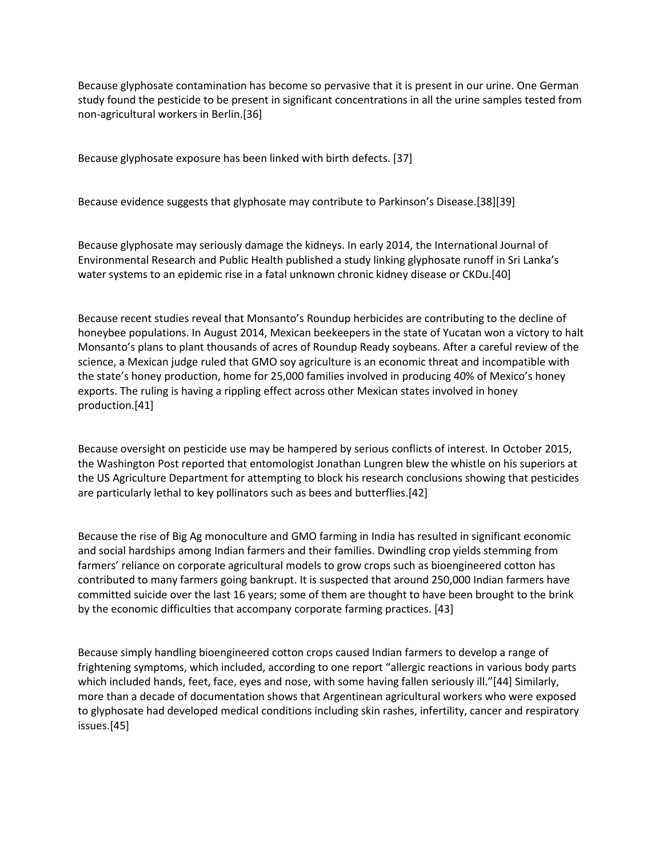Because glyphosate contamination has become so pervasive that it is present in our urine. One German study found the pesticide to be present in significant concentrations in all the urine samples tested from non-agricultural workers in Berlin.[36]

Because glyphosate exposure has been linked with birth defects. [37]

Because evidence suggests that glyphosate may contribute to Parkinson's Disease.[38][39]

Because glyphosate may seriously damage the kidneys. In early 2014, the International Journal of Environmental Research and Public Health published a study linking glyphosate runoff in Sri Lanka's water systems to an epidemic rise in a fatal unknown chronic kidney disease or CKDu.[40]

Because recent studies reveal that Monsanto's Roundup herbicides are contributing to the decline of honeybee populations. In August 2014, Mexican beekeepers in the state of Yucatan won a victory to halt Monsanto's plans to plant thousands of acres of Roundup Ready soybeans. After a careful review of the science, a Mexican judge ruled that GMO soy agriculture is an economic threat and incompatible with the state's honey production, home for 25,000 families involved in producing 40% of Mexico's honey exports. The ruling is having a rippling effect across other Mexican states involved in honey production.[41]

Because oversight on pesticide use may be hampered by serious conflicts of interest. In October 2015, the Washington Post reported that entomologist Jonathan Lungren blew the whistle on his superiors at the US Agriculture Department for attempting to block his research conclusions showing that pesticides are particularly lethal to key pollinators such as bees and butterflies.[42]

Because the rise of Big Ag monoculture and GMO farming in India has resulted in significant economic and social hardships among Indian farmers and their families. Dwindling crop yields stemming from farmers' reliance on corporate agricultural models to grow crops such as bioengineered cotton has contributed to many farmers going bankrupt. It is suspected that around 250,000 Indian farmers have committed suicide over the last 16 years; some of them are thought to have been brought to the brink by the economic difficulties that accompany corporate farming practices.[43]

Because simply handling bioengineered cotton crops caused Indian farmers to develop a range of frightening symptoms, which included, according to one report "allergic reactions in various body parts which included hands, feet, face, eyes and nose, with some having fallen seriously ill."[44] Similarly, more than a decade of documentation shows that Argentinean agricultural workers who were exposed to glyphosate had developed medical conditions including skin rashes, infertility, cancer and respiratory issues.[45]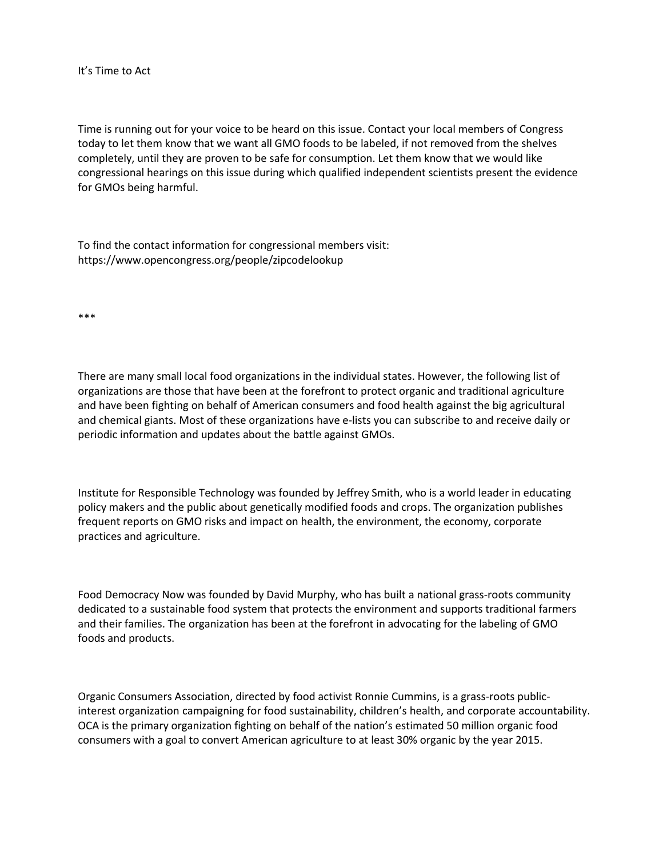## It's Time to Act

Time is running out for your voice to be heard on this issue. Contact your local members of Congress today to let them know that we want all GMO foods to be labeled, if not removed from the shelves completely, until they are proven to be safe for consumption. Let them know that wewould like congressional hearings on this issue during which qualified independent scientists present the evidence for GMOs being harmful.

To find the contact information for congressional members visit: https://www.opencongress.org/people/zipcodelookup

\*\*\*

There are many small local food organizations in the individual states. However, the following list of organizations are those that have been at the forefront to protect organic and traditional agriculture and have been fighting on behalf of American consumers and food health against the big agricultural and chemical giants. Most of these organizations have e-lists you can subscribe to and receive daily or periodic information and updates about the battle against GMOs.

Institute for Responsible Technology was founded by Jeffrey Smith, who is a world leader in educating policy makers and the public about genetically modified foods and crops. The organization publishes frequent reports on GMO risks and impact on health, the environment, the economy, corporate practices and agriculture.

Food Democracy Now was founded by David Murphy, who has built a national grass-roots community dedicated to a sustainable food system that protects the environment and supports traditional farmers and their families. The organization has been at the forefront in advocating for the labeling of GMO foods and products.

Organic Consumers Association, directed by food activist Ronnie Cummins, is a grass-roots publicinterest organization campaigning for food sustainability, children's health, and corporate accountability. OCA is the primary organization fighting on behalf of the nation's estimated 50 million organic food consumers with a goal to convert American agriculture to at least 30% organic by the year 2015.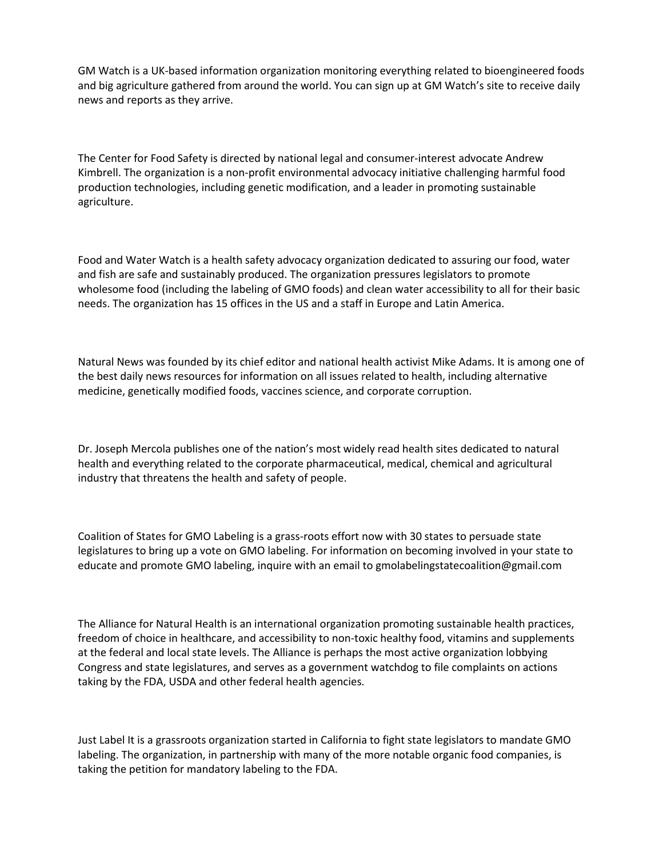GM Watch is a UK-based information organization monitoring everything related to bioengineered foods and big agriculture gathered from around the world. You can sign up at GM Watch's site to receive daily news and reports as they arrive.

The Center for Food Safety is directed by national legal and consumer-interest advocate Andrew Kimbrell. The organization is a non-profit environmental advocacy initiative challenging harmful food production technologies, including genetic modification, and a leader in promoting sustainable agriculture.

Food and Water Watch is a health safety advocacy organization dedicated to assuring our food, water and fish are safe and sustainably produced. The organization pressures legislators to promote wholesome food (including the labeling of GMO foods) and clean water accessibility to all for their basic needs. The organization has 15 offices in the US and a staff in Europe and Latin America.

Natural News was founded by itschief editor and national health activist Mike Adams. It is among one of the best daily news resources for information on all issues related to health, including alternative medicine, genetically modified foods, vaccines science, and corporate corruption.

Dr. Joseph Mercola publishes one of the nation's most widely read health sites dedicated to natural health and everything related to the corporate pharmaceutical, medical, chemical and agricultural industry that threatens the health and safety of people.

Coalition of States for GMO Labeling is a grass-roots effort now with 30 states to persuade state legislatures to bring up a vote on GMO labeling. For information on becoming involved in your state to educate and promote GMO labeling, inquire with an email to gmolabelingstatecoalition@gmail.com

The Alliance for Natural Health is an international organization promoting sustainable health practices, freedom of choice in healthcare, and accessibility to non-toxic healthy food, vitamins and supplements at the federal and local state levels. The Alliance is perhaps the most active organization lobbying Congress and state legislatures, and serves as a government watchdog to file complaints on actions taking by the FDA, USDA and other federal health agencies.

Just Label It is a grassroots organization started in California to fight state legislators to mandate GMO labeling. The organization, in partnership with many of the more notable organic food companies, is taking the petition for mandatory labeling to the FDA.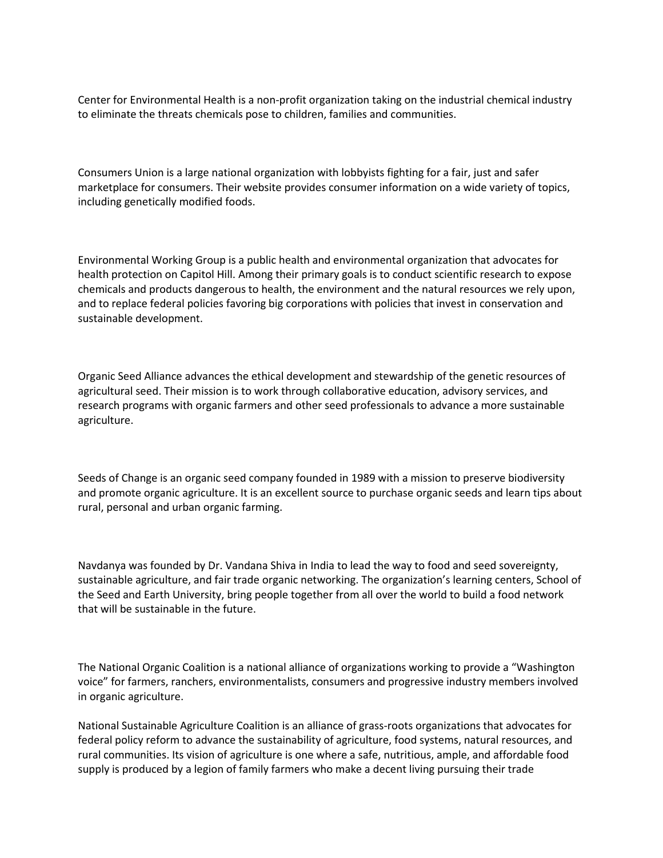Center for Environmental Health is a non-profit organization taking on the industrial chemical industry to eliminate the threats chemicals pose to children, families and communities.

Consumers Union is a large national organization with lobbyists fighting for a fair, just and safer marketplace for consumers. Their website provides consumer information on a wide variety of topics, including genetically modified foods.

Environmental Working Group is a public health and environmental organization that advocates for health protection on Capitol Hill. Among their primary goals is to conduct scientific research to expose chemicals and products dangerous to health, the environment and the natural resources we rely upon, and to replace federal policies favoring big corporations with policies that invest in conservation and sustainable development.

Organic Seed Alliance advances the ethical development and stewardship of the genetic resources of agricultural seed. Their mission is to work through collaborative education, advisory services, and research programs with organic farmers and other seed professionals to advance a more sustainable agriculture.

Seeds of Change is an organic seed company founded in 1989 with a mission to preserve biodiversity and promote organic agriculture. It is an excellent source to purchase organic seeds and learn tips about rural, personal and urban organic farming.

Navdanya was founded by Dr. Vandana Shiva in India to lead the way to food and seed sovereignty, sustainable agriculture, and fair trade organic networking. The organization's learning centers, School of the Seed and Earth University, bring people together from all over the world to build a food network that will be sustainable in the future.

The National Organic Coalition is a national alliance of organizations working to provide a "Washington voice" for farmers, ranchers, environmentalists, consumers and progressive industry members involved in organic agriculture.

National Sustainable Agriculture Coalition is an alliance of grass-roots organizations that advocates for federal policy reform to advance the sustainability of agriculture, food systems, natural resources, and rural communities. Its vision of agriculture is one where a safe, nutritious, ample, and affordable food supply is produced by a legion of family farmers who make a decent living pursuing their trade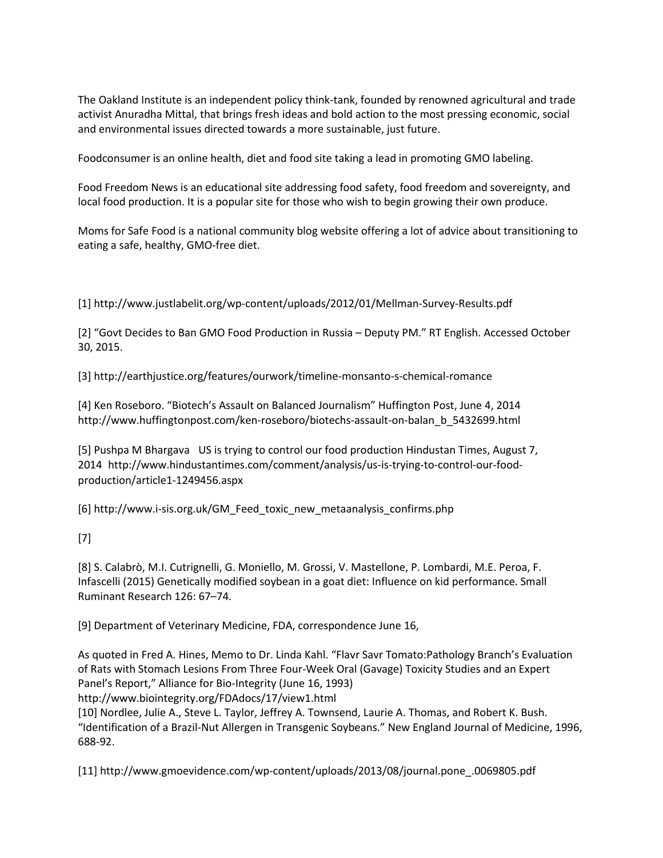The Oakland Institute is an independent policy think-tank, founded by renowned agricultural and trade activist Anuradha Mittal, that brings fresh ideas and bold action to the most pressing economic, social and environmental issues directed towards a more sustainable, just future.

Foodconsumer is an online health, diet and food site taking a lead in promoting GMO labeling.

Food Freedom News is an educational site addressing food safety, food freedom and sovereignty, and local food production. It is a popular site for those who wish to begin growing their own produce.

Moms for Safe Food is a national community blog website offering a lot of advice about transitioning to eating a safe, healthy, GMO-free diet.

[1] http://www.justlabelit.org/wp-content/uploads/2012/01/Mellman-Survey-Results.pdf

[2] "Govt Decides to Ban GMO Food Production in Russia – Deputy PM." RT English. Accessed October 30, 2015.

[3] http://earthjustice.org/features/ourwork/timeline-monsanto-s-chemical-romance

[4] Ken Roseboro. "Biotech's Assault on Balanced Journalism" Huffington Post, June 4, 2014 http://www.huffingtonpost.com/ken-roseboro/biotechs-assault-on-balan\_b\_5432699.html

[5] Pushpa M Bhargava US is trying to control our food production Hindustan Times, August 7, 2014 http://www.hindustantimes.com/comment/analysis/us-is-trying-to-control-our-food production/article1-1249456.aspx

[6] http://www.i-sis.org.uk/GM\_Feed\_toxic\_new\_metaanalysis\_confirms.php

## [7]

[8] S. Calabrò, M.I. Cutrignelli, G. Moniello, M. Grossi, V. Mastellone, P. Lombardi, M.E. Peroa, F. Infascelli (2015) Genetically modified soybean in a goat diet: Influence on kid performance. Small Ruminant Research 126: 67–74.

[9] Department of Veterinary Medicine, FDA, correspondence June 16,

As quoted in Fred A. Hines, Memo to Dr. Linda Kahl. "Flavr Savr Tomato:Pathology Branch's Evaluation of Rats with Stomach Lesions From Three Four-Week Oral (Gavage) Toxicity Studies and an Expert Panel's Report," Alliance for Bio-Integrity (June 16,1993)

http://www.biointegrity.org/FDAdocs/17/view1.html

[10] Nordlee, Julie A., Steve L.Taylor, Jeffrey A. Townsend, Laurie A. Thomas,and Robert K. Bush. "Identification of a Brazil-Nut Allergen in Transgenic Soybeans." New England Journal of Medicine, 1996, 688-92.

[11] http://www.gmoevidence.com/wp-content/uploads/2013/08/journal.pone\_.0069805.pdf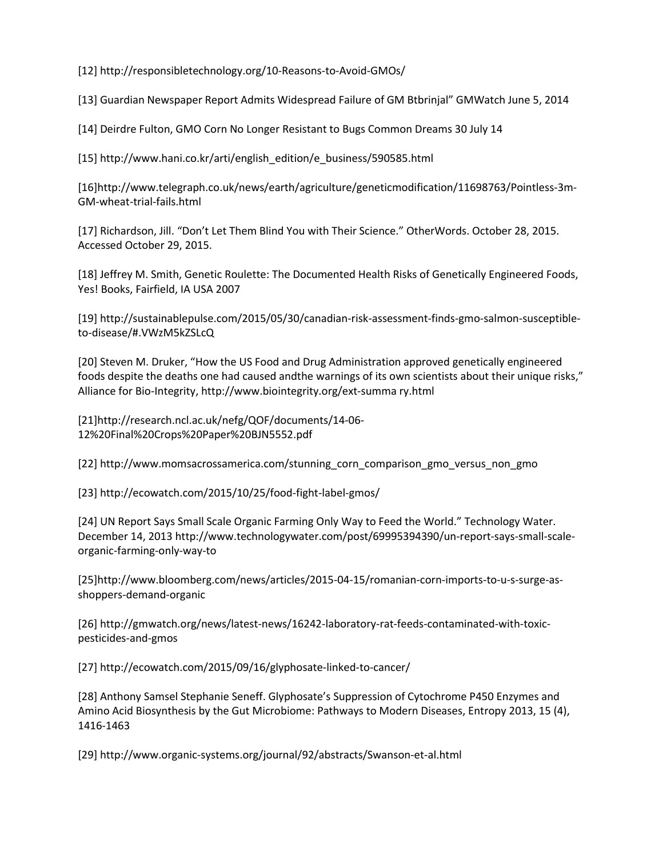[12] http://responsibletechnology.org/10-Reasons-to-Avoid-GMOs/

[13] Guardian Newspaper Report Admits Widespread Failure of GM Btbrinjal" GMWatch June 5,2014

[14] Deirdre Fulton, GMO Corn No Longer Resistant to Bugs Common Dreams 30 July 14

[15] http://www.hani.co.kr/arti/english\_edition/e\_business/590585.html

[16]http://www.telegraph.co.uk/news/earth/agriculture/geneticmodification/11698763/Pointless-3m- GM-wheat-trial-fails.html

[17] Richardson, Jill. "Don't Let Them Blind You with Their Science." OtherWords. October 28, 2015. Accessed October 29, 2015.

[18] Jeffrey M. Smith, Genetic Roulette: The Documented Health Risks of Genetically Engineered Foods, Yes! Books, Fairfield, IA USA 2007

[19] http://sustainablepulse.com/2015/05/30/canadian-risk-assessment-finds-gmo-salmon-susceptible to-disease/#.VWzM5kZSLcQ

[20] Steven M. Druker, "How the US Food and Drug Administration approved genetically engineered foods despite the deaths one had caused andthe warnings of its own scientists about their unique risks," Alliance for Bio-Integrity, http://www.biointegrity.org/ext-summa ry.html

[21]http://research.ncl.ac.uk/nefg/QOF/documents/14-06- 12%20Final%20Crops%20Paper%20BJN5552.pdf

[22] http://www.momsacrossamerica.com/stunning\_corn\_comparison\_gmo\_versus\_non\_gmo

[23] http://ecowatch.com/2015/10/25/food-fight-label-gmos/

[24] UN Report Says Small Scale Organic Farming Only Way to Feed the World." Technology Water. December 14, 2013 http://www.technologywater.com/post/69995394390/un-report-says-small-scale organic-farming-only-way-to

[25]http://www.bloomberg.com/news/articles/2015-04-15/romanian-corn-imports-to-u-s-surge-as shoppers-demand-organic

[26] http://gmwatch.org/news/latest-news/16242-laboratory-rat-feeds-contaminated-with-toxic pesticides-and-gmos

[27] http://ecowatch.com/2015/09/16/glyphosate-linked-to-cancer/

[28] Anthony Samsel Stephanie Seneff. Glyphosate's Suppression of Cytochrome P450 Enzymes and Amino Acid Biosynthesis by the Gut Microbiome: Pathways to Modern Diseases, Entropy 2013, 15 (4), 1416-1463

[29] http://www.organic-systems.org/journal/92/abstracts/Swanson-et-al.html